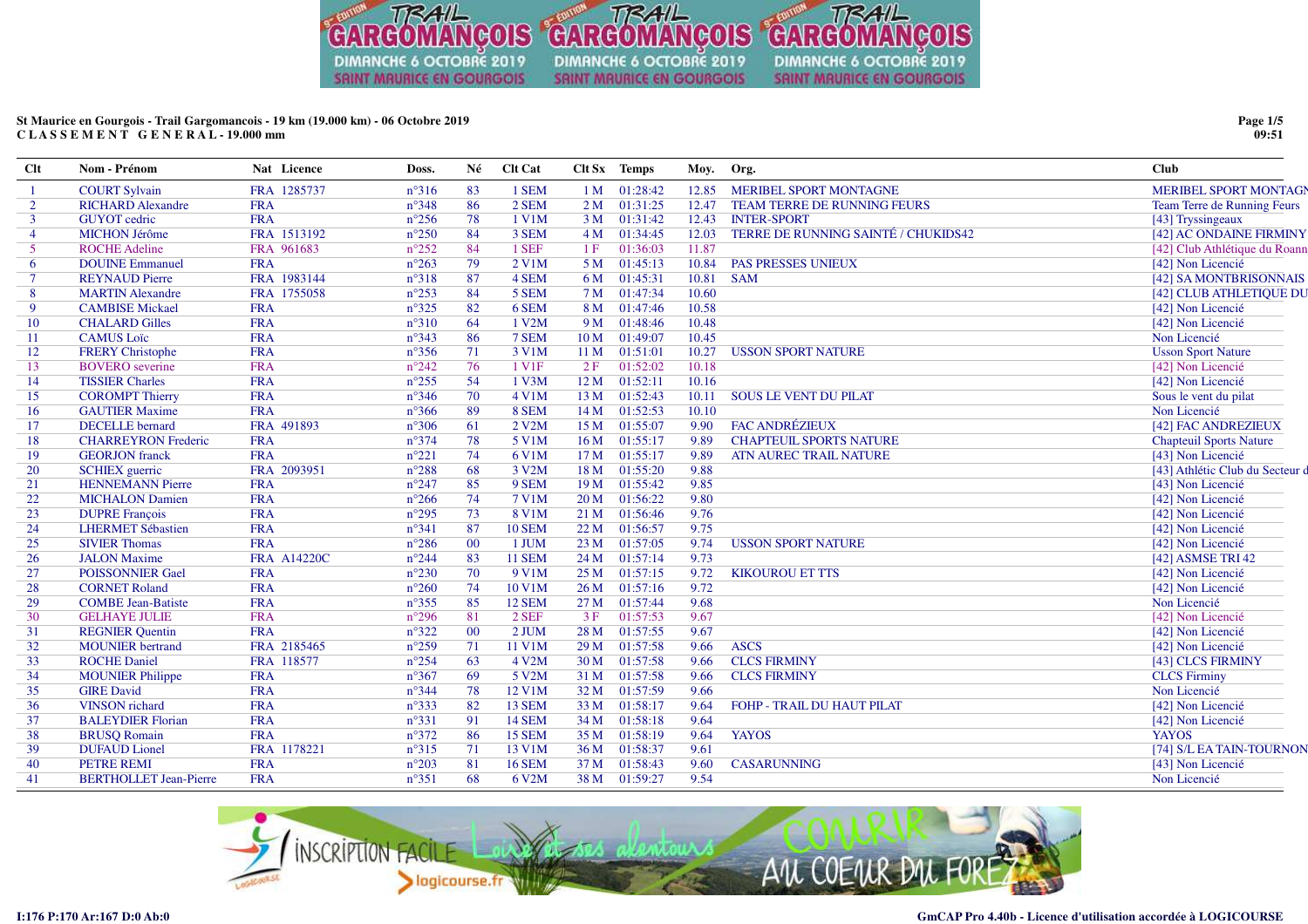

# **St Maurice en Gourgois - Trail Gargomancois - 19 km (19.000 km) - 06 Octobre 2019C L A S S E M E N T G E N E R A L - 19.000 mm**

| $Cl$ t         | Nom - Prénom                  | Nat Licence        | Doss.          | Né     | Clt Cat       |                 | Clt Sx Temps | Moy.  | Org.                                | <b>Club</b>                     |
|----------------|-------------------------------|--------------------|----------------|--------|---------------|-----------------|--------------|-------|-------------------------------------|---------------------------------|
|                | <b>COURT Sylvain</b>          | FRA 1285737        | $n^{\circ}316$ | 83     | 1 SEM         | 1 <sub>M</sub>  | 01:28:42     | 12.85 | <b>MERIBEL SPORT MONTAGNE</b>       | MERIBEL SPORT MONTAGN           |
| $\overline{2}$ | <b>RICHARD Alexandre</b>      | <b>FRA</b>         | $n^{\circ}348$ | 86     | 2 SEM         | 2M              | 01:31:25     | 12.47 | TEAM TERRE DE RUNNING FEURS         | Team Terre de Running Feurs     |
| $\overline{3}$ | <b>GUYOT</b> cedric           | <b>FRA</b>         | $n^{\circ}256$ | 78     | 1 V1M         | 3M              | 01:31:42     | 12.43 | <b>INTER-SPORT</b>                  | [43] Tryssingeaux               |
| $\overline{4}$ | <b>MICHON Jérôme</b>          | FRA 1513192        | $n^{\circ}250$ | 84     | 3 SEM         | 4M              | 01:34:45     | 12.03 | TERRE DE RUNNING SAINTÉ / CHUKIDS42 | [42] AC ONDAINE FIRMINY         |
| $\mathfrak{S}$ | <b>ROCHE Adeline</b>          | FRA 961683         | $n^{\circ}252$ | 84     | 1 SEF         | 1F              | 01:36:03     | 11.87 |                                     | [42] Club Athlétique du Roann   |
| 6              | <b>DOUINE Emmanuel</b>        | <b>FRA</b>         | $n^{\circ}263$ | 79     | 2 V1M         | 5 M             | 01:45:13     | 10.84 | <b>PAS PRESSES UNIEUX</b>           | [42] Non Licencié               |
| $\overline{7}$ | <b>REYNAUD Pierre</b>         | FRA 1983144        | $n^{\circ}318$ | 87     | 4 SEM         | 6 M             | 01:45:31     | 10.81 | <b>SAM</b>                          | [42] SA MONTBRISONNAIS          |
| -8             | <b>MARTIN Alexandre</b>       | FRA 1755058        | $n^{\circ}253$ | 84     | 5 SEM         | 7 M             | 01:47:34     | 10.60 |                                     | [42] CLUB ATHLETIQUE DU         |
| 9              | <b>CAMBISE Mickael</b>        | <b>FRA</b>         | $n^{\circ}325$ | 82     | 6 SEM         | 8 M             | 01:47:46     | 10.58 |                                     | [42] Non Licencié               |
| 10             | <b>CHALARD Gilles</b>         | <b>FRA</b>         | $n^{\circ}310$ | 64     | 1 V2M         | 9 M             | 01:48:46     | 10.48 |                                     | [42] Non Licencié               |
| 11             | <b>CAMUS</b> Loïc             | <b>FRA</b>         | $n^{\circ}343$ | 86     | 7 SEM         | 10 <sub>M</sub> | 01:49:07     | 10.45 |                                     | Non Licencié                    |
| 12             | <b>FRERY Christophe</b>       | <b>FRA</b>         | $n^{\circ}356$ | 71     | 3 V1M         | 11 M            | 01:51:01     | 10.27 | <b>USSON SPORT NATURE</b>           | <b>Usson Sport Nature</b>       |
| 13             | <b>BOVERO</b> severine        | <b>FRA</b>         | $n^{\circ}242$ | 76     | 1 V1F         | 2F              | 01:52:02     | 10.18 |                                     | [42] Non Licencié               |
| 14             | <b>TISSIER Charles</b>        | <b>FRA</b>         | $n^{\circ}255$ | 54     | 1 V3M         | 12M             | 01:52:11     | 10.16 |                                     | [42] Non Licencié               |
| 15             | <b>COROMPT Thierry</b>        | <b>FRA</b>         | $n^{\circ}346$ | 70     | 4 V1M         | 13 <sub>M</sub> | 01:52:43     | 10.11 | <b>SOUS LE VENT DU PILAT</b>        | Sous le vent du pilat           |
| 16             | <b>GAUTIER Maxime</b>         | <b>FRA</b>         | $n^{\circ}366$ | 89     | 8 SEM         | 14M             | 01:52:53     | 10.10 |                                     | Non Licencié                    |
| 17             | <b>DECELLE</b> bernard        | FRA 491893         | $n^{\circ}306$ | 61     | 2 V2M         | 15 <sub>M</sub> | 01:55:07     | 9.90  | FAC ANDRÉZIEUX                      | [42] FAC ANDREZIEUX             |
| 18             | <b>CHARREYRON Frederic</b>    | <b>FRA</b>         | $n^{\circ}374$ | 78     | 5 V1M         | 16 <sub>M</sub> | 01:55:17     | 9.89  | <b>CHAPTEUIL SPORTS NATURE</b>      | <b>Chapteuil Sports Nature</b>  |
| 19             | <b>GEORJON</b> franck         | <b>FRA</b>         | $n^{\circ}221$ | 74     | 6 V1M         | 17 <sub>M</sub> | 01:55:17     | 9.89  | ATN AUREC TRAIL NATURE              | [43] Non Licencié               |
| 20             | <b>SCHIEX</b> guerric         | FRA 2093951        | $n^{\circ}288$ | 68     | 3 V2M         | 18 M            | 01:55:20     | 9.88  |                                     | [43] Athlétic Club du Secteur d |
| 21             | <b>HENNEMANN Pierre</b>       | <b>FRA</b>         | $n^{\circ}247$ | 85     | 9 SEM         | 19 <sub>M</sub> | 01:55:42     | 9.85  |                                     | [43] Non Licencié               |
| 22             | <b>MICHALON Damien</b>        | <b>FRA</b>         | $n^{\circ}266$ | 74     | <b>7 V1M</b>  | 20 <sub>M</sub> | 01:56:22     | 9.80  |                                     | [42] Non Licencié               |
| 23             | <b>DUPRE François</b>         | <b>FRA</b>         | $n^{\circ}295$ | 73     | 8 V1M         | 21 M            | 01:56:46     | 9.76  |                                     | [42] Non Licencié               |
| 24             | <b>LHERMET Sébastien</b>      | <b>FRA</b>         | $n^{\circ}341$ | 87     | <b>10 SEM</b> | 22 M            | 01:56:57     | 9.75  |                                     | [42] Non Licencié               |
| 25             | <b>SIVIER Thomas</b>          | <b>FRA</b>         | $n^{\circ}286$ | $00\,$ | 1 JUM         | 23 M            | 01:57:05     | 9.74  | <b>USSON SPORT NATURE</b>           | [42] Non Licencié               |
| 26             | <b>JALON</b> Maxime           | <b>FRA A14220C</b> | $n^{\circ}244$ | 83     | <b>11 SEM</b> | 24 M            | 01:57:14     | 9.73  |                                     | [42] ASMSE TRI 42               |
| 27             | <b>POISSONNIER Gael</b>       | <b>FRA</b>         | $n^{\circ}230$ | 70     | 9 V1M         | 25 M            | 01:57:15     | 9.72  | <b>KIKOUROU ET TTS</b>              | [42] Non Licencié               |
| 28             | <b>CORNET Roland</b>          | <b>FRA</b>         | $n^{\circ}260$ | 74     | 10 V1M        | 26M             | 01:57:16     | 9.72  |                                     | [42] Non Licencié               |
| 29             | <b>COMBE Jean-Batiste</b>     | <b>FRA</b>         | $n^{\circ}355$ | 85     | <b>12 SEM</b> | 27 M            | 01:57:44     | 9.68  |                                     | Non Licencié                    |
| 30             | <b>GELHAYE JULIE</b>          | <b>FRA</b>         | $n^{\circ}296$ | 81     | 2 SEF         | 3F              | 01:57:53     | 9.67  |                                     | [42] Non Licencié               |
| 31             | <b>REGNIER Quentin</b>        | <b>FRA</b>         | $n^{\circ}322$ | $00\,$ | $2$ JUM       | 28 M            | 01:57:55     | 9.67  |                                     | [42] Non Licencié               |
| 32             | <b>MOUNIER</b> bertrand       | FRA 2185465        | $n^{\circ}259$ | 71     | 11 V1M        | 29 M            | 01:57:58     | 9.66  | <b>ASCS</b>                         | [42] Non Licencié               |
| 33             | <b>ROCHE Daniel</b>           | FRA 118577         | $n^{\circ}254$ | 63     | 4 V2M         | 30 M            | 01:57:58     | 9.66  | <b>CLCS FIRMINY</b>                 | [43] CLCS FIRMINY               |
| 34             | <b>MOUNIER Philippe</b>       | <b>FRA</b>         | $n^{\circ}367$ | 69     | 5 V2M         | 31 M            | 01:57:58     | 9.66  | <b>CLCS FIRMINY</b>                 | <b>CLCS</b> Firminy             |
| 35             | <b>GIRE David</b>             | <b>FRA</b>         | $n^{\circ}344$ | 78     | 12 V1M        | 32 M            | 01:57:59     | 9.66  |                                     | Non Licencié                    |
| 36             | <b>VINSON</b> richard         | <b>FRA</b>         | $n^{\circ}333$ | 82     | <b>13 SEM</b> | 33 M            | 01:58:17     | 9.64  | <b>FOHP - TRAIL DU HAUT PILAT</b>   | [42] Non Licencié               |
| 37             | <b>BALEYDIER Florian</b>      | <b>FRA</b>         | $n^{\circ}331$ | 91     | <b>14 SEM</b> | 34 M            | 01:58:18     | 9.64  |                                     | [42] Non Licencié               |
| 38             | <b>BRUSQ Romain</b>           | <b>FRA</b>         | $n^{\circ}372$ | 86     | <b>15 SEM</b> | 35 M            | 01:58:19     | 9.64  | <b>YAYOS</b>                        | <b>YAYOS</b>                    |
| 39             | <b>DUFAUD</b> Lionel          | FRA 1178221        | $n^{\circ}315$ | 71     | 13 V1M        | 36 M            | 01:58:37     | 9.61  |                                     | [74] S/L EA TAIN-TOURNON        |
| 40             | PETRE REMI                    | <b>FRA</b>         | $n^{\circ}203$ | 81     | <b>16 SEM</b> | 37 M            | 01:58:43     | 9.60  | <b>CASARUNNING</b>                  | [43] Non Licencié               |
| 41             | <b>BERTHOLLET Jean-Pierre</b> | <b>FRA</b>         | $n^{\circ}351$ | 68     | 6 V2M         | 38 M            | 01:59:27     | 9.54  |                                     | Non Licencié                    |
|                |                               |                    |                |        |               |                 |              |       |                                     |                                 |



**Page 1/509:51**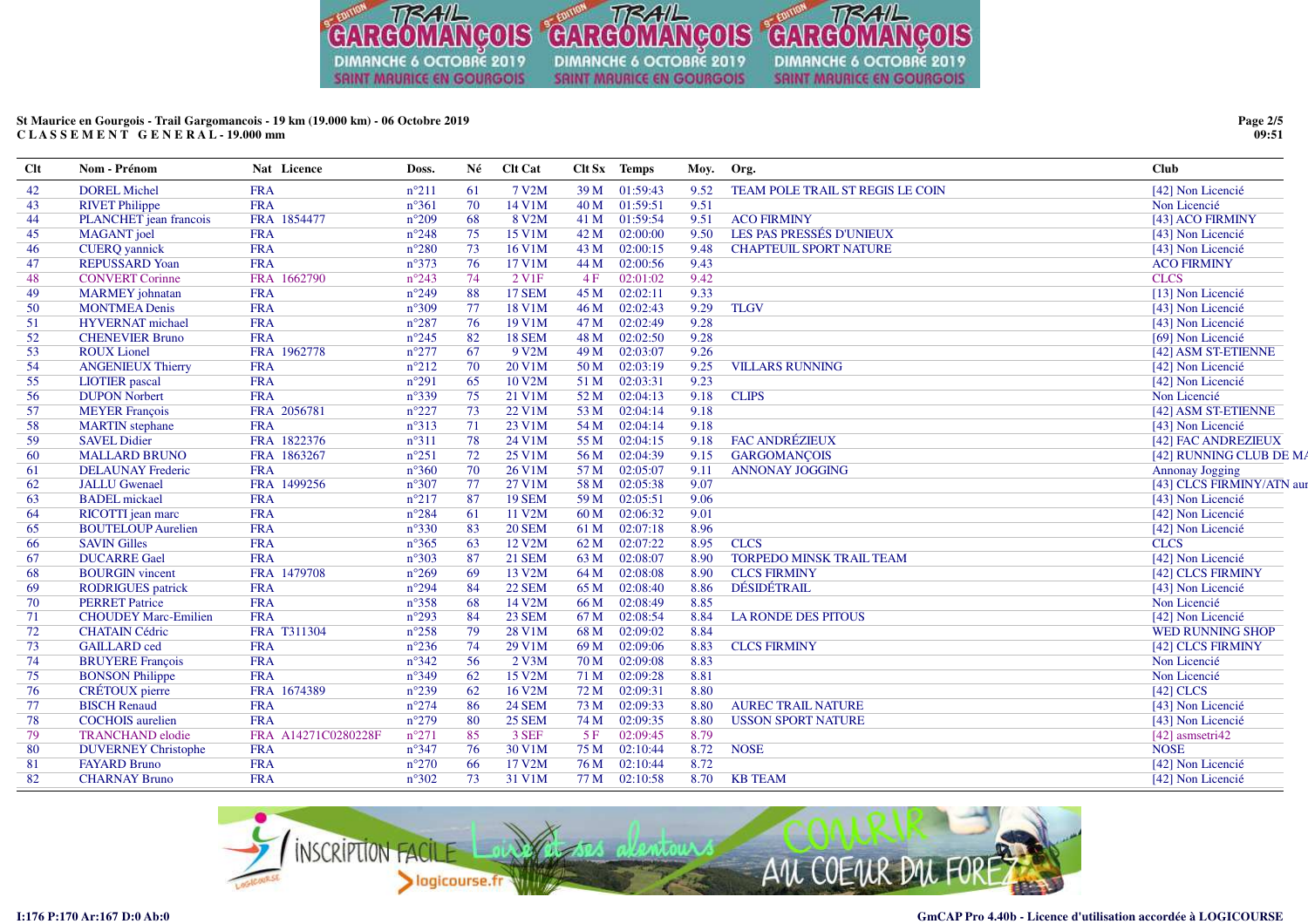

# St Maurice en Gourgois - Trail Gargomancois - 19 km (19.000 km) - 06 Octobre 2019 CLASSEMENT GENERAL-19.000 mm

| <b>Clt</b> | Nom - Prénom                | Nat Licence         | Doss.          | Né | Clt Cat             |      | Clt Sx Temps | Moy. | Org.                             | <b>Club</b>              |
|------------|-----------------------------|---------------------|----------------|----|---------------------|------|--------------|------|----------------------------------|--------------------------|
| 42         | <b>DOREL Michel</b>         | <b>FRA</b>          | $n^{\circ}211$ | 61 | 7 V2M               | 39 M | 01:59:43     | 9.52 | TEAM POLE TRAIL ST REGIS LE COIN | [42] Non Licencié        |
| 43         | <b>RIVET Philippe</b>       | <b>FRA</b>          | $n^{\circ}361$ | 70 | 14 V1M              | 40 M | 01:59:51     | 9.51 |                                  | Non Licencié             |
| 44         | PLANCHET jean francois      | FRA 1854477         | $n^{\circ}209$ | 68 | 8 V2M               | 41 M | 01:59:54     | 9.51 | <b>ACO FIRMINY</b>               | [43] ACO FIRMINY         |
| 45         | <b>MAGANT</b> joel          | <b>FRA</b>          | $n^{\circ}248$ | 75 | 15 V1M              | 42 M | 02:00:00     | 9.50 | LES PAS PRESSÉS D'UNIEUX         | [43] Non Licencié        |
| 46         | <b>CUERQ</b> yannick        | <b>FRA</b>          | $n^{\circ}280$ | 73 | 16 V1M              | 43 M | 02:00:15     | 9.48 | <b>CHAPTEUIL SPORT NATURE</b>    | [43] Non Licencié        |
| 47         | <b>REPUSSARD Yoan</b>       | <b>FRA</b>          | $n^{\circ}373$ | 76 | 17 V1M              | 44 M | 02:00:56     | 9.43 |                                  | <b>ACO FIRMINY</b>       |
| 48         | <b>CONVERT Corinne</b>      | FRA 1662790         | $n^{\circ}243$ | 74 | 2 V1F               | 4F   | 02:01:02     | 9.42 |                                  | <b>CLCS</b>              |
| 49         | <b>MARMEY</b> johnatan      | <b>FRA</b>          | $n^{\circ}249$ | 88 | <b>17 SEM</b>       | 45 M | 02:02:11     | 9.33 |                                  | [13] Non Licencié        |
| 50         | <b>MONTMEA Denis</b>        | <b>FRA</b>          | $n^{\circ}309$ | 77 | 18 V1M              | 46 M | 02:02:43     | 9.29 | <b>TLGV</b>                      | [43] Non Licencié        |
| 51         | <b>HYVERNAT</b> michael     | <b>FRA</b>          | $n^{\circ}287$ | 76 | 19 V1M              | 47 M | 02:02:49     | 9.28 |                                  | [43] Non Licencié        |
| 52         | <b>CHENEVIER Bruno</b>      | <b>FRA</b>          | $n^{\circ}245$ | 82 | <b>18 SEM</b>       | 48 M | 02:02:50     | 9.28 |                                  | [69] Non Licencié        |
| 53         | <b>ROUX Lionel</b>          | FRA 1962778         | $n^{\circ}277$ | 67 | 9 V2M               | 49 M | 02:03:07     | 9.26 |                                  | [42] ASM ST-ETIENNE      |
| 54         | <b>ANGENIEUX Thierry</b>    | <b>FRA</b>          | $n^{\circ}212$ | 70 | 20 V1M              | 50 M | 02:03:19     | 9.25 | <b>VILLARS RUNNING</b>           | [42] Non Licencié        |
| 55         | <b>LIOTIER</b> pascal       | <b>FRA</b>          | $n^{\circ}291$ | 65 | 10 V2M              | 51 M | 02:03:31     | 9.23 |                                  | [42] Non Licencié        |
| 56         | <b>DUPON Norbert</b>        | <b>FRA</b>          | $n^{\circ}339$ | 75 | 21 V1M              | 52 M | 02:04:13     | 9.18 | <b>CLIPS</b>                     | Non Licencié             |
| 57         | <b>MEYER</b> François       | FRA 2056781         | $n^{\circ}227$ | 73 | 22 V1M              | 53 M | 02:04:14     | 9.18 |                                  | [42] ASM ST-ETIENNE      |
| 58         | <b>MARTIN</b> stephane      | <b>FRA</b>          | $n^{\circ}313$ | 71 | 23 V1M              | 54 M | 02:04:14     | 9.18 |                                  | [43] Non Licencié        |
| 59         | <b>SAVEL Didier</b>         | FRA 1822376         | $n^{\circ}311$ | 78 | 24 V1M              | 55 M | 02:04:15     | 9.18 | <b>FAC ANDRÉZIEUX</b>            | [42] FAC ANDREZIEUX      |
| 60         | <b>MALLARD BRUNO</b>        | FRA 1863267         | $n^{\circ}251$ | 72 | 25 V1M              | 56 M | 02:04:39     | 9.15 | <b>GARGOMANÇOIS</b>              | [42] RUNNING CLUB DE M.  |
| 61         | <b>DELAUNAY Frederic</b>    | <b>FRA</b>          | $n^{\circ}360$ | 70 | 26 V1M              | 57 M | 02:05:07     | 9.11 | <b>ANNONAY JOGGING</b>           | <b>Annonay Jogging</b>   |
| 62         | <b>JALLU Gwenael</b>        | FRA 1499256         | $n^{\circ}307$ | 77 | 27 V1M              | 58 M | 02:05:38     | 9.07 |                                  | [43] CLCS FIRMINY/ATN au |
| 63         | <b>BADEL</b> mickael        | <b>FRA</b>          | $n^{\circ}217$ | 87 | <b>19 SEM</b>       | 59 M | 02:05:51     | 9.06 |                                  | [43] Non Licencié        |
| 64         | RICOTTI jean marc           | <b>FRA</b>          | $n^{\circ}284$ | 61 | 11 V2M              | 60 M | 02:06:32     | 9.01 |                                  | [42] Non Licencié        |
| 65         | <b>BOUTELOUP Aurelien</b>   | <b>FRA</b>          | $n^{\circ}330$ | 83 | <b>20 SEM</b>       | 61 M | 02:07:18     | 8.96 |                                  | [42] Non Licencié        |
| 66         | <b>SAVIN Gilles</b>         | <b>FRA</b>          | $n^{\circ}365$ | 63 | 12 V <sub>2</sub> M | 62 M | 02:07:22     | 8.95 | <b>CLCS</b>                      | <b>CLCS</b>              |
| 67         | <b>DUCARRE Gael</b>         | <b>FRA</b>          | $n^{\circ}303$ | 87 | <b>21 SEM</b>       | 63 M | 02:08:07     | 8.90 | <b>TORPEDO MINSK TRAIL TEAM</b>  | [42] Non Licencié        |
| 68         | <b>BOURGIN</b> vincent      | FRA 1479708         | $n^{\circ}269$ | 69 | 13 V2M              | 64 M | 02:08:08     | 8.90 | <b>CLCS FIRMINY</b>              | [42] CLCS FIRMINY        |
| 69         | <b>RODRIGUES</b> patrick    | <b>FRA</b>          | $n^{\circ}294$ | 84 | <b>22 SEM</b>       | 65 M | 02:08:40     | 8.86 | <b>DÉSIDÉTRAIL</b>               | [43] Non Licencié        |
| 70         | <b>PERRET Patrice</b>       | <b>FRA</b>          | $n^{\circ}358$ | 68 | 14 V2M              | 66 M | 02:08:49     | 8.85 |                                  | Non Licencié             |
| 71         | <b>CHOUDEY Marc-Emilien</b> | <b>FRA</b>          | $n^{\circ}293$ | 84 | <b>23 SEM</b>       | 67 M | 02:08:54     | 8.84 | <b>LA RONDE DES PITOUS</b>       | [42] Non Licencié        |
| 72         | <b>CHATAIN Cédric</b>       | FRA T311304         | $n^{\circ}258$ | 79 | 28 V1M              | 68 M | 02:09:02     | 8.84 |                                  | <b>WED RUNNING SHOP</b>  |
| 73         | <b>GAILLARD</b> ced         | <b>FRA</b>          | $n^{\circ}236$ | 74 | 29 V1M              | 69 M | 02:09:06     | 8.83 | <b>CLCS FIRMINY</b>              | [42] CLCS FIRMINY        |
| 74         | <b>BRUYERE François</b>     | <b>FRA</b>          | $n^{\circ}342$ | 56 | $2$ V3M             | 70 M | 02:09:08     | 8.83 |                                  | Non Licencié             |
| 75         | <b>BONSON</b> Philippe      | <b>FRA</b>          | $n^{\circ}349$ | 62 | 15 V2M              | 71 M | 02:09:28     | 8.81 |                                  | Non Licencié             |
| 76         | <b>CRÉTOUX</b> pierre       | FRA 1674389         | $n^{\circ}239$ | 62 | 16 V2M              | 72 M | 02:09:31     | 8.80 |                                  | $[42]$ CLCS              |
| 77         | <b>BISCH Renaud</b>         | <b>FRA</b>          | $n^{\circ}274$ | 86 | <b>24 SEM</b>       | 73 M | 02:09:33     | 8.80 | <b>AUREC TRAIL NATURE</b>        | [43] Non Licencié        |
| 78         | <b>COCHOIS</b> aurelien     | <b>FRA</b>          | $n^{\circ}279$ | 80 | <b>25 SEM</b>       | 74 M | 02:09:35     | 8.80 | <b>USSON SPORT NATURE</b>        | [43] Non Licencié        |
| 79         | <b>TRANCHAND</b> elodie     | FRA A14271C0280228F | $n^{\circ}271$ | 85 | 3 SEF               | 5F   | 02:09:45     | 8.79 |                                  | [42] asmsetri42          |
| 80         | <b>DUVERNEY Christophe</b>  | <b>FRA</b>          | $n^{\circ}347$ | 76 | 30 V1M              | 75 M | 02:10:44     | 8.72 | <b>NOSE</b>                      | <b>NOSE</b>              |
| 81         | <b>FAYARD Bruno</b>         | <b>FRA</b>          | $n^{\circ}270$ | 66 | 17 V <sub>2</sub> M | 76 M | 02:10:44     | 8.72 |                                  | [42] Non Licencié        |
| 82         | <b>CHARNAY Bruno</b>        | <b>FRA</b>          | $n^{\circ}302$ | 73 | 31 V1M              | 77 M | 02:10:58     | 8.70 | <b>KB TEAM</b>                   | [42] Non Licencié        |



Page 2/5  $09:51$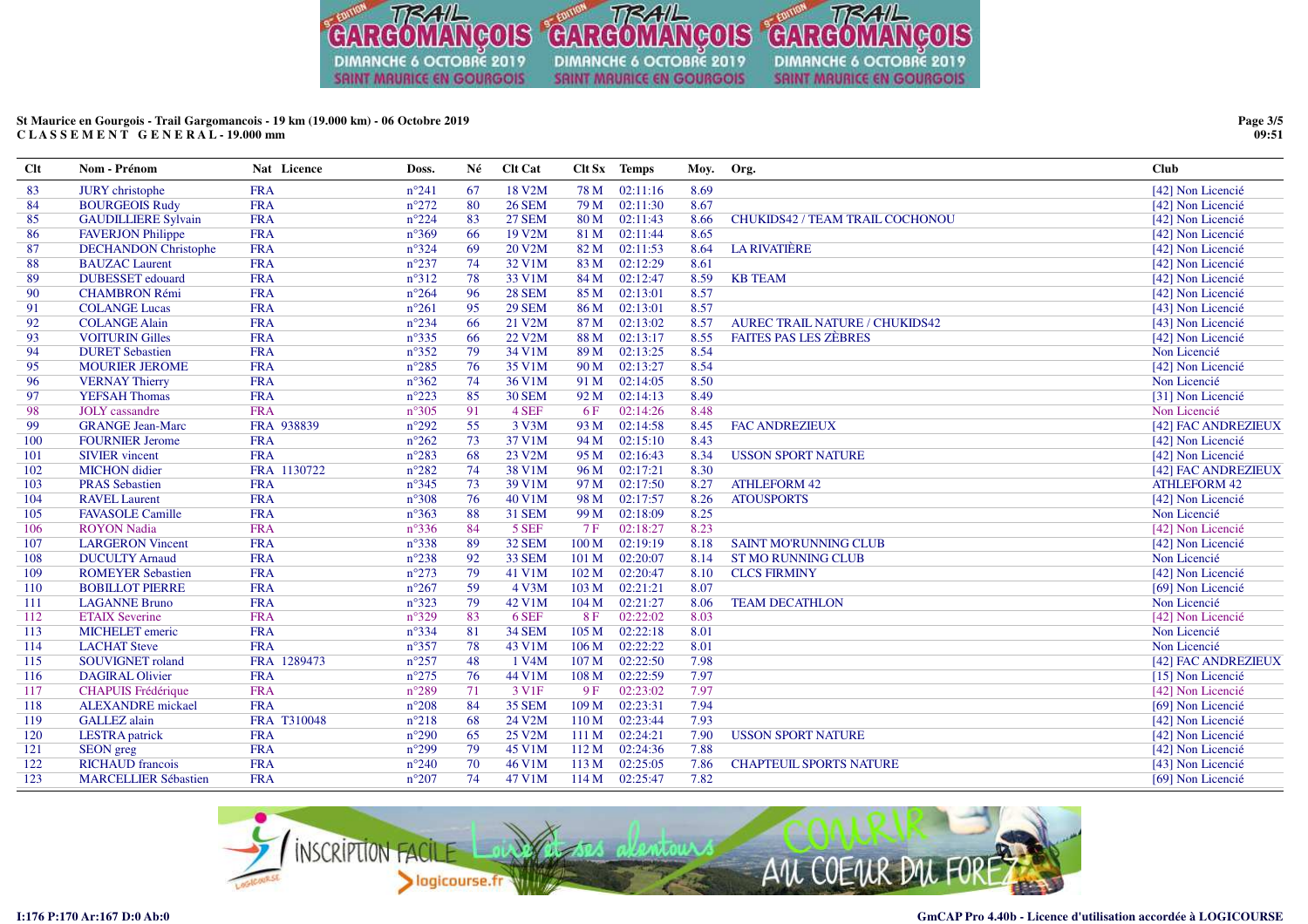

# **St Maurice en Gourgois - Trail Gargomancois - 19 km (19.000 km) - 06 Octobre 2019C L A S S E M E N T G E N E R A L - 19.000 mm**

| Clt | Nom - Prénom                | Nat Licence | Doss.          | Né | Clt Cat            |                  | Clt Sx Temps | Moy. | Org.                                  | <b>Club</b>         |
|-----|-----------------------------|-------------|----------------|----|--------------------|------------------|--------------|------|---------------------------------------|---------------------|
| 83  | <b>JURY</b> christophe      | <b>FRA</b>  | $n^{\circ}241$ | 67 | 18 V2M             | 78 M             | 02:11:16     | 8.69 |                                       | [42] Non Licencié   |
| 84  | <b>BOURGEOIS Rudy</b>       | <b>FRA</b>  | $n^{\circ}272$ | 80 | <b>26 SEM</b>      | 79 M             | 02:11:30     | 8.67 |                                       | [42] Non Licencié   |
| 85  | <b>GAUDILLIERE Sylvain</b>  | <b>FRA</b>  | $n^{\circ}224$ | 83 | <b>27 SEM</b>      | 80 <sub>M</sub>  | 02:11:43     | 8.66 | CHUKIDS42 / TEAM TRAIL COCHONOU       | [42] Non Licencié   |
| 86  | <b>FAVERJON Philippe</b>    | <b>FRA</b>  | $n^{\circ}369$ | 66 | 19 V2M             | 81 M             | 02:11:44     | 8.65 |                                       | [42] Non Licencié   |
| 87  | <b>DECHANDON</b> Christophe | <b>FRA</b>  | $n^{\circ}324$ | 69 | 20 V2M             | 82 M             | 02:11:53     | 8.64 | <b>LA RIVATIÈRE</b>                   | [42] Non Licencié   |
| 88  | <b>BAUZAC</b> Laurent       | <b>FRA</b>  | $n^{\circ}237$ | 74 | 32 V1M             | 83 M             | 02:12:29     | 8.61 |                                       | [42] Non Licencié   |
| 89  | <b>DUBESSET</b> edouard     | <b>FRA</b>  | $n^{\circ}312$ | 78 | 33 V1M             | 84 M             | 02:12:47     | 8.59 | <b>KB TEAM</b>                        | [42] Non Licencié   |
| 90  | <b>CHAMBRON Rémi</b>        | <b>FRA</b>  | $n^{\circ}264$ | 96 | <b>28 SEM</b>      | 85 M             | 02:13:01     | 8.57 |                                       | [42] Non Licencié   |
| 91  | <b>COLANGE Lucas</b>        | <b>FRA</b>  | $n^{\circ}261$ | 95 | <b>29 SEM</b>      | 86 M             | 02:13:01     | 8.57 |                                       | [43] Non Licencié   |
| 92  | <b>COLANGE Alain</b>        | <b>FRA</b>  | $n^{\circ}234$ | 66 | 21 V2M             | 87 M             | 02:13:02     | 8.57 | <b>AUREC TRAIL NATURE / CHUKIDS42</b> | [43] Non Licencié   |
| 93  | <b>VOITURIN Gilles</b>      | <b>FRA</b>  | $n^{\circ}335$ | 66 | 22 V2M             | 88 M             | 02:13:17     | 8.55 | <b>FAITES PAS LES ZÈBRES</b>          | [42] Non Licencié   |
| 94  | <b>DURET Sebastien</b>      | <b>FRA</b>  | $n^{\circ}352$ | 79 | 34 V1M             | 89 M             | 02:13:25     | 8.54 |                                       | Non Licencié        |
| 95  | <b>MOURIER JEROME</b>       | <b>FRA</b>  | $n^{\circ}285$ | 76 | 35 V1M             | 90 M             | 02:13:27     | 8.54 |                                       | [42] Non Licencié   |
| 96  | <b>VERNAY Thierry</b>       | <b>FRA</b>  | $n^{\circ}362$ | 74 | 36 V1M             | 91 M             | 02:14:05     | 8.50 |                                       | Non Licencié        |
| 97  | <b>YEFSAH Thomas</b>        | <b>FRA</b>  | $n^{\circ}223$ | 85 | <b>30 SEM</b>      | 92 M             | 02:14:13     | 8.49 |                                       | [31] Non Licencié   |
| 98  | <b>JOLY</b> cassandre       | <b>FRA</b>  | $n^{\circ}305$ | 91 | 4 SEF              | 6 F              | 02:14:26     | 8.48 |                                       | Non Licencié        |
| 99  | <b>GRANGE Jean-Marc</b>     | FRA 938839  | $n^{\circ}292$ | 55 | 3 V3M              | 93 M             | 02:14:58     | 8.45 | <b>FAC ANDREZIEUX</b>                 | [42] FAC ANDREZIEUX |
| 100 | <b>FOURNIER Jerome</b>      | <b>FRA</b>  | $n^{\circ}262$ | 73 | 37 V1M             | 94 M             | 02:15:10     | 8.43 |                                       | [42] Non Licencié   |
| 101 | <b>SIVIER</b> vincent       | <b>FRA</b>  | $n^{\circ}283$ | 68 | 23 V2M             | 95 M             | 02:16:43     | 8.34 | <b>USSON SPORT NATURE</b>             | [42] Non Licencié   |
| 102 | <b>MICHON</b> didier        | FRA 1130722 | $n^{\circ}282$ | 74 | 38 V1M             | 96 M             | 02:17:21     | 8.30 |                                       | [42] FAC ANDREZIEUX |
| 103 | <b>PRAS Sebastien</b>       | <b>FRA</b>  | $n^{\circ}345$ | 73 | 39 V1M             | 97 M             | 02:17:50     | 8.27 | <b>ATHLEFORM 42</b>                   | <b>ATHLEFORM 42</b> |
| 104 | <b>RAVEL Laurent</b>        | <b>FRA</b>  | $n^{\circ}308$ | 76 | 40 V1M             | 98 M             | 02:17:57     | 8.26 | <b>ATOUSPORTS</b>                     | [42] Non Licencié   |
| 105 | <b>FAVASOLE Camille</b>     | <b>FRA</b>  | $n^{\circ}363$ | 88 | <b>31 SEM</b>      | 99 M             | 02:18:09     | 8.25 |                                       | Non Licencié        |
| 106 | <b>ROYON</b> Nadia          | <b>FRA</b>  | $n^{\circ}336$ | 84 | 5 SEF              | 7 F              | 02:18:27     | 8.23 |                                       | [42] Non Licencié   |
| 107 | <b>LARGERON Vincent</b>     | <b>FRA</b>  | $n^{\circ}338$ | 89 | <b>32 SEM</b>      | 100 <sub>M</sub> | 02:19:19     | 8.18 | <b>SAINT MO'RUNNING CLUB</b>          | [42] Non Licencié   |
| 108 | <b>DUCULTY Arnaud</b>       | <b>FRA</b>  | $n^{\circ}238$ | 92 | 33 SEM             | 101 M            | 02:20:07     | 8.14 | <b>ST MO RUNNING CLUB</b>             | Non Licencié        |
| 109 | <b>ROMEYER Sebastien</b>    | <b>FRA</b>  | $n^{\circ}273$ | 79 | 41 V1M             | 102 M            | 02:20:47     | 8.10 | <b>CLCS FIRMINY</b>                   | [42] Non Licencié   |
| 110 | <b>BOBILLOT PIERRE</b>      | <b>FRA</b>  | $n^{\circ}267$ | 59 | 4 V3M              | 103 M            | 02:21:21     | 8.07 |                                       | [69] Non Licencié   |
| 111 | <b>LAGANNE Bruno</b>        | <b>FRA</b>  | $n^{\circ}323$ | 79 | 42 V1M             | 104 M            | 02:21:27     | 8.06 | <b>TEAM DECATHLON</b>                 | Non Licencié        |
| 112 | <b>ETAIX Severine</b>       | <b>FRA</b>  | $n^{\circ}329$ | 83 | 6 SEF              | 8F               | 02:22:02     | 8.03 |                                       | [42] Non Licencié   |
| 113 | <b>MICHELET</b> emeric      | <b>FRA</b>  | $n^{\circ}334$ | 81 | <b>34 SEM</b>      | 105 <sub>M</sub> | 02:22:18     | 8.01 |                                       | Non Licencié        |
| 114 | <b>LACHAT Steve</b>         | <b>FRA</b>  | $n^{\circ}357$ | 78 | 43 V1M             | 106 <sub>M</sub> | 02:22:22     | 8.01 |                                       | Non Licencié        |
| 115 | <b>SOUVIGNET</b> roland     | FRA 1289473 | $n^{\circ}257$ | 48 | 1 V <sub>4</sub> M | 107 M            | 02:22:50     | 7.98 |                                       | [42] FAC ANDREZIEUX |
| 116 | <b>DAGIRAL Olivier</b>      | <b>FRA</b>  | $n^{\circ}275$ | 76 | 44 V1M             | 108 M            | 02:22:59     | 7.97 |                                       | [15] Non Licencié   |
| 117 | <b>CHAPUIS Frédérique</b>   | <b>FRA</b>  | $n^{\circ}289$ | 71 | 3 V <sub>1F</sub>  | 9F               | 02:23:02     | 7.97 |                                       | [42] Non Licencié   |
| 118 | <b>ALEXANDRE</b> mickael    | <b>FRA</b>  | $n^{\circ}208$ | 84 | <b>35 SEM</b>      | 109 M            | 02:23:31     | 7.94 |                                       | [69] Non Licencié   |
| 119 | <b>GALLEZ</b> alain         | FRA T310048 | $n^{\circ}218$ | 68 | 24 V2M             | 110 M            | 02:23:44     | 7.93 |                                       | [42] Non Licencié   |
| 120 | <b>LESTRA</b> patrick       | <b>FRA</b>  | $n^{\circ}290$ | 65 | 25 V2M             | 111 M            | 02:24:21     | 7.90 | <b>USSON SPORT NATURE</b>             | [42] Non Licencié   |
| 121 | <b>SEON</b> greg            | <b>FRA</b>  | $n^{\circ}299$ | 79 | 45 V1M             | 112 M            | 02:24:36     | 7.88 |                                       | [42] Non Licencié   |
| 122 | <b>RICHAUD</b> francois     | <b>FRA</b>  | $n^{\circ}240$ | 70 | 46 V1M             | 113 M            | 02:25:05     | 7.86 | <b>CHAPTEUIL SPORTS NATURE</b>        | [43] Non Licencié   |
| 123 | <b>MARCELLIER Sébastien</b> | <b>FRA</b>  | $n^{\circ}207$ | 74 | 47 V1M             | 114M             | 02:25:47     | 7.82 |                                       | [69] Non Licencié   |



**Page 3/509:51**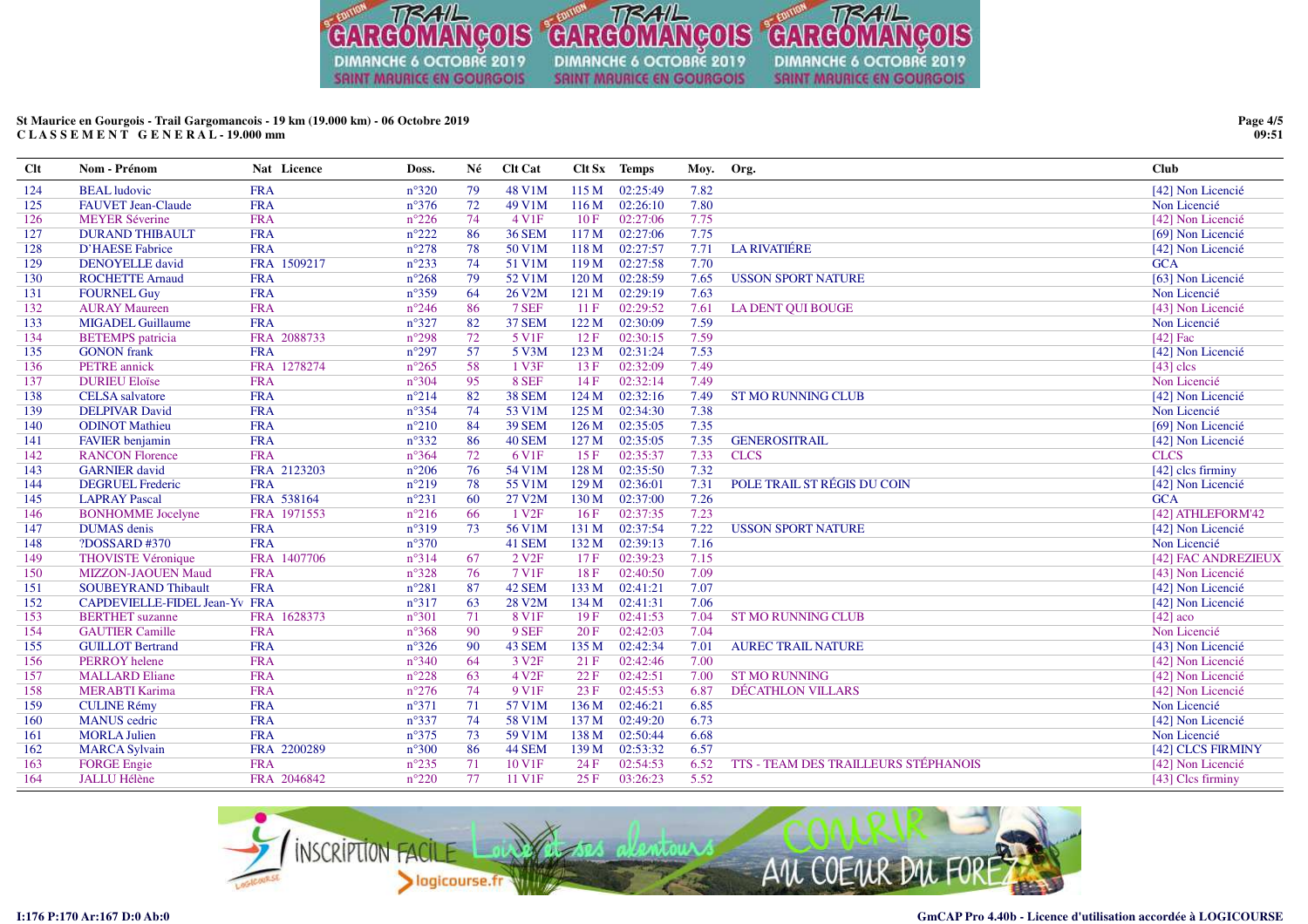

# St Maurice en Gourgois - Trail Gargomancois - 19 km (19.000 km) - 06 Octobre 2019 CLASSEMENT GENERAL-19.000 mm

| <b>Clt</b> | Nom - Prénom                  | Nat Licence | Doss.          | Né | Clt Cat             |                  | Clt Sx Temps | Moy. | Org.                                        | <b>Club</b>         |
|------------|-------------------------------|-------------|----------------|----|---------------------|------------------|--------------|------|---------------------------------------------|---------------------|
| 124        | <b>BEAL</b> ludovic           | <b>FRA</b>  | $n^{\circ}320$ | 79 | 48 V1M              | 115 M            | 02:25:49     | 7.82 |                                             | [42] Non Licencié   |
| 125        | <b>FAUVET Jean-Claude</b>     | <b>FRA</b>  | $n^{\circ}376$ | 72 | 49 V1M              | 116 M            | 02:26:10     | 7.80 |                                             | Non Licencié        |
| 126        | <b>MEYER Séverine</b>         | <b>FRA</b>  | $n^{\circ}226$ | 74 | 4 V1F               | 10F              | 02:27:06     | 7.75 |                                             | [42] Non Licencié   |
| 127        | <b>DURAND THIBAULT</b>        | <b>FRA</b>  | $n^{\circ}222$ | 86 | <b>36 SEM</b>       | 117 <sub>M</sub> | 02:27:06     | 7.75 |                                             | [69] Non Licencié   |
| 128        | <b>D'HAESE Fabrice</b>        | <b>FRA</b>  | $n^{\circ}278$ | 78 | 50 V1M              | 118 M            | 02:27:57     | 7.71 | <b>LA RIVATIÉRE</b>                         | [42] Non Licencié   |
| 129        | <b>DENOYELLE</b> david        | FRA 1509217 | $n^{\circ}233$ | 74 | 51 V1M              | 119M             | 02:27:58     | 7.70 |                                             | <b>GCA</b>          |
| 130        | <b>ROCHETTE Arnaud</b>        | <b>FRA</b>  | $n^{\circ}268$ | 79 | 52 V1M              | 120 M            | 02:28:59     | 7.65 | <b>USSON SPORT NATURE</b>                   | [63] Non Licencié   |
| 131        | <b>FOURNEL Guy</b>            | <b>FRA</b>  | $n^{\circ}359$ | 64 | 26 V <sub>2</sub> M | 121 M            | 02:29:19     | 7.63 |                                             | Non Licencié        |
| 132        | <b>AURAY Maureen</b>          | <b>FRA</b>  | $n^{\circ}246$ | 86 | 7 SEF               | 11F              | 02:29:52     | 7.61 | <b>LA DENT OUI BOUGE</b>                    | [43] Non Licencié   |
| 133        | <b>MIGADEL Guillaume</b>      | <b>FRA</b>  | $n^{\circ}327$ | 82 | <b>37 SEM</b>       | 122M             | 02:30:09     | 7.59 |                                             | Non Licencié        |
| 134        | <b>BETEMPS</b> patricia       | FRA 2088733 | $n^{\circ}298$ | 72 | 5 V1F               | 12F              | 02:30:15     | 7.59 |                                             | $[42]$ Fac          |
| 135        | <b>GONON</b> frank            | <b>FRA</b>  | $n^{\circ}297$ | 57 | 5 V3M               | 123 M            | 02:31:24     | 7.53 |                                             | [42] Non Licencié   |
| 136        | <b>PETRE</b> annick           | FRA 1278274 | $n^{\circ}265$ | 58 | 1 V3F               | 13F              | 02:32:09     | 7.49 |                                             | $[43]$ clcs         |
| 137        | <b>DURIEU Eloïse</b>          | <b>FRA</b>  | $n^{\circ}304$ | 95 | 8 SEF               | 14F              | 02:32:14     | 7.49 |                                             | Non Licencié        |
| 138        | <b>CELSA</b> salvatore        | <b>FRA</b>  | $n^{\circ}214$ | 82 | <b>38 SEM</b>       | 124M             | 02:32:16     | 7.49 | <b>ST MO RUNNING CLUB</b>                   | [42] Non Licencié   |
| 139        | <b>DELPIVAR David</b>         | <b>FRA</b>  | $n^{\circ}354$ | 74 | 53 V1M              | 125 M            | 02:34:30     | 7.38 |                                             | Non Licencié        |
| 140        | <b>ODINOT Mathieu</b>         | <b>FRA</b>  | $n^{\circ}210$ | 84 | <b>39 SEM</b>       | 126 <sub>M</sub> | 02:35:05     | 7.35 |                                             | [69] Non Licencié   |
| 141        | <b>FAVIER</b> benjamin        | <b>FRA</b>  | $n^{\circ}332$ | 86 | <b>40 SEM</b>       | 127 <sub>M</sub> | 02:35:05     | 7.35 | <b>GENEROSITRAIL</b>                        | [42] Non Licencié   |
| 142        | <b>RANCON Florence</b>        | <b>FRA</b>  | $n^{\circ}364$ | 72 | 6 V <sub>1F</sub>   | 15F              | 02:35:37     | 7.33 | <b>CLCS</b>                                 | <b>CLCS</b>         |
| 143        | <b>GARNIER</b> david          | FRA 2123203 | $n^{\circ}206$ | 76 | 54 V1M              | 128 M            | 02:35:50     | 7.32 |                                             | [42] clcs firminy   |
| 144        | <b>DEGRUEL Frederic</b>       | <b>FRA</b>  | $n^{\circ}219$ | 78 | 55 V1M              | 129 M            | 02:36:01     | 7.31 | POLE TRAIL ST RÉGIS DU COIN                 | [42] Non Licencié   |
| 145        | <b>LAPRAY Pascal</b>          | FRA 538164  | $n^{\circ}231$ | 60 | 27 V2M              | 130 M            | 02:37:00     | 7.26 |                                             | <b>GCA</b>          |
| 146        | <b>BONHOMME</b> Jocelyne      | FRA 1971553 | $n^{\circ}216$ | 66 | 1 V <sub>2F</sub>   | 16F              | 02:37:35     | 7.23 |                                             | [42] ATHLEFORM'42   |
| 147        | <b>DUMAS</b> denis            | <b>FRA</b>  | $n^{\circ}319$ | 73 | 56 V1M              | 131 M            | 02:37:54     | 7.22 | <b>USSON SPORT NATURE</b>                   | [42] Non Licencié   |
| 148        | ?DOSSARD #370                 | <b>FRA</b>  | $n^{\circ}370$ |    | 41 SEM              | 132 M            | 02:39:13     | 7.16 |                                             | Non Licencié        |
| 149        | <b>THOVISTE Véronique</b>     | FRA 1407706 | $n^{\circ}314$ | 67 | 2 V2F               | 17F              | 02:39:23     | 7.15 |                                             | [42] FAC ANDREZIEUX |
| 150        | <b>MIZZON-JAOUEN Maud</b>     | <b>FRA</b>  | $n^{\circ}328$ | 76 | 7 V1F               | 18F              | 02:40:50     | 7.09 |                                             | [43] Non Licencié   |
| 151        | <b>SOUBEYRAND Thibault</b>    | <b>FRA</b>  | $n^{\circ}281$ | 87 | 42 SEM              | 133 M            | 02:41:21     | 7.07 |                                             | [42] Non Licencié   |
| 152        | CAPDEVIELLE-FIDEL Jean-Yv FRA |             | $n^{\circ}317$ | 63 | 28 V2M              | 134 M            | 02:41:31     | 7.06 |                                             | [42] Non Licencié   |
| 153        | <b>BERTHET</b> suzanne        | FRA 1628373 | $n^{\circ}301$ | 71 | 8 V1F               | 19F              | 02:41:53     | 7.04 | <b>ST MO RUNNING CLUB</b>                   | $[42]$ aco          |
| 154        | <b>GAUTIER Camille</b>        | <b>FRA</b>  | $n^{\circ}368$ | 90 | 9 SEF               | 20F              | 02:42:03     | 7.04 |                                             | Non Licencié        |
| 155        | <b>GUILLOT Bertrand</b>       | <b>FRA</b>  | $n^{\circ}326$ | 90 | 43 SEM              | 135 M            | 02:42:34     | 7.01 | <b>AUREC TRAIL NATURE</b>                   | [43] Non Licencié   |
| 156        | PERROY helene                 | <b>FRA</b>  | $n^{\circ}340$ | 64 | 3 V <sub>2F</sub>   | 21 F             | 02:42:46     | 7.00 |                                             | [42] Non Licencié   |
| 157        | <b>MALLARD Eliane</b>         | <b>FRA</b>  | $n^{\circ}228$ | 63 | 4 V <sub>2F</sub>   | 22F              | 02:42:51     | 7.00 | <b>ST MO RUNNING</b>                        | [42] Non Licencié   |
| 158        | <b>MERABTI Karima</b>         | <b>FRA</b>  | $n^{\circ}276$ | 74 | 9 V <sub>1F</sub>   | 23 F             | 02:45:53     | 6.87 | DÉCATHLON VILLARS                           | [42] Non Licencié   |
| 159        | <b>CULINE Rémy</b>            | <b>FRA</b>  | $n^{\circ}371$ | 71 | 57 V1M              | 136 M            | 02:46:21     | 6.85 |                                             | Non Licencié        |
| 160        | <b>MANUS</b> cedric           | <b>FRA</b>  | $n^{\circ}337$ | 74 | 58 V1M              | 137 M            | 02:49:20     | 6.73 |                                             | [42] Non Licencié   |
| 161        | <b>MORLA Julien</b>           | <b>FRA</b>  | $n^{\circ}375$ | 73 | 59 V1M              | 138 M            | 02:50:44     | 6.68 |                                             | Non Licencié        |
| 162        | <b>MARCA Sylvain</b>          | FRA 2200289 | $n^{\circ}300$ | 86 | <b>44 SEM</b>       | 139 M            | 02:53:32     | 6.57 |                                             | [42] CLCS FIRMINY   |
| 163        | <b>FORGE</b> Engie            | <b>FRA</b>  | $n^{\circ}235$ | 71 | 10 V1F              | 24F              | 02:54:53     | 6.52 | <b>TTS - TEAM DES TRAILLEURS STÉPHANOIS</b> | [42] Non Licencié   |
| 164        | <b>JALLU Hélène</b>           | FRA 2046842 | $n^{\circ}220$ | 77 | 11 V1F              | 25F              | 03:26:23     | 5.52 |                                             | [43] Clcs firminy   |



Page 4/5  $09:51$